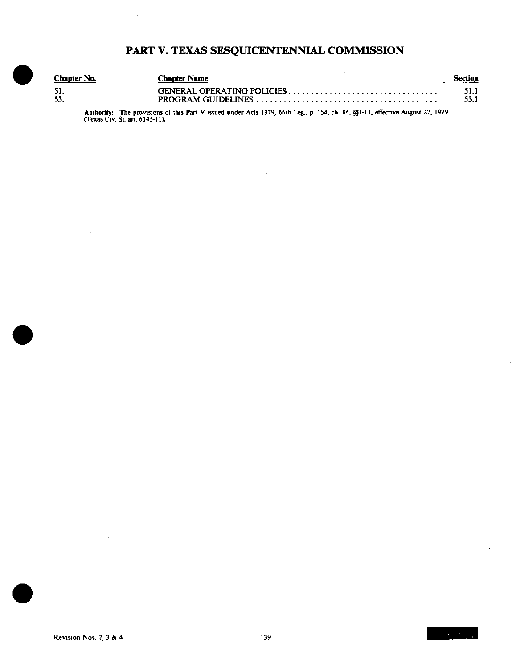# PART V. TEXAS SESQUICENTENNIAL COMMISSION

| Chapter No.    | <b>Chapter Name</b>                                                                                                  | <b>Section</b> |
|----------------|----------------------------------------------------------------------------------------------------------------------|----------------|
| - 51.<br>- 53. |                                                                                                                      | 51.1<br>53.1   |
|                | Anthority: The provisions of this Part V issued under Acts 1979 66th Leg n 154 ch 84 881-11 effective August 27 1979 |                |

 $\ddot{\phantom{a}}$ 

 $\ddot{\phantom{a}}$ 

this Part V issued under Acts 1979, 66th Leg., p. 154, ch. 84. §§1-11, effective August 27, 1979 Authority: The provisions of<br>(Texas Civ. St. art. 6145-11).

 $\sim$ 

 $\mathbb{R}^2$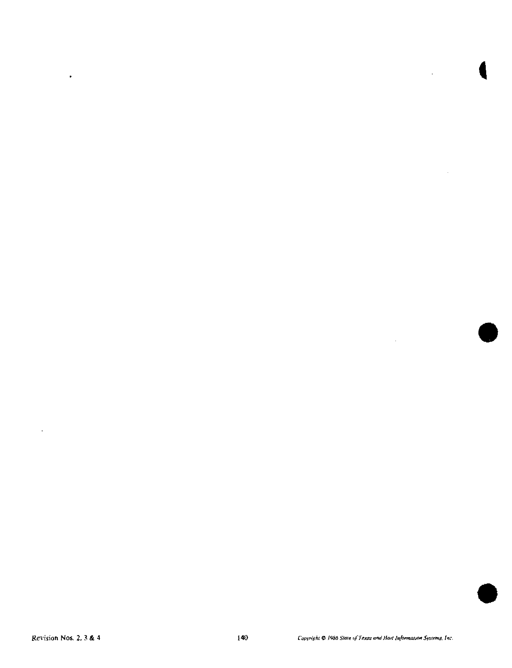$\ddot{\phantom{1}}$ 

4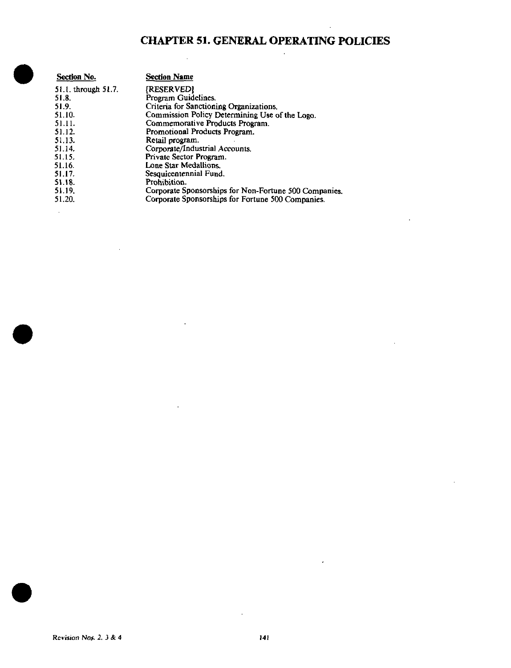# CHAPTER 51. GENERAL OPERATING POLICIES

Section No. Section Name

 $\bar{\beta}$ 

| $51.1$ , through $51.7$ . | [RESERVED]                                            |
|---------------------------|-------------------------------------------------------|
| 51.8.                     | Program Guidelines.                                   |
| 51.9.                     | Criteria for Sanctioning Organizations.               |
| 51.10.                    | Commission Policy Determining Use of the Logo.        |
| 51.11.                    | Commemorative Products Program.                       |
| 51.12.                    | Promotional Products Program.                         |
| 51.13.                    | Retail program.                                       |
| 51.14.                    | Corporate/Industrial Accounts.                        |
| 51.15.                    | Private Sector Program.                               |
| 51.16.                    | Lone Star Medallions.                                 |
| 51.17.                    | Sesquicentennial Fund.                                |
| 51.18.                    | Prohibition.                                          |
| 51.19.                    | Corporate Sponsorships for Non-Fortune 500 Companies. |
| 51.20.                    | Corporate Sponsorships for Fortune 500 Companies.     |
|                           |                                                       |

 $\epsilon$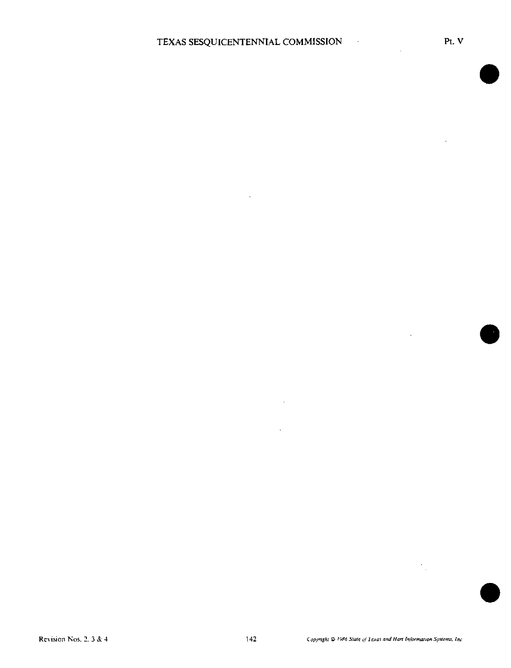$\ddot{\phantom{a}}$ 

 $\hat{\mathcal{A}}$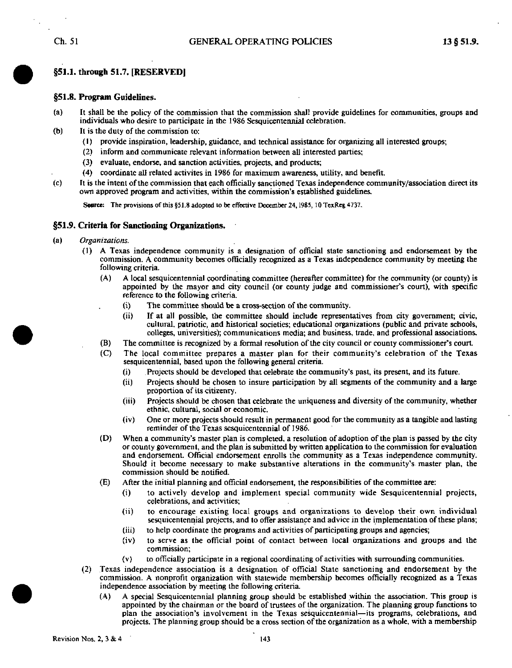# §51.1. through 51.7. [RESERVED]

#### §51.8. Program Guidelines.

- (a) It shall be the policy of the commission that the commission shall provide guidelines for communities, groups and individuals who desire to participate in the 1986 Sesquicentenniai celebration.
- (b) It is the duty of the commission to;
	- (1) provide inspiration, leadership, guidance, and technical assistance for organizing all interested groups;
	- (2) inform and communicate relevant information between all interested parties;
	- (3) evaluate, endorse, and sanction activities, projects, and products;
	- (4) coordinate all related activites in 1986 for maximum awareness, utility, and benefit.
- (c) It is the intent ofthe commission that each officially sanctioned Texas independence community/association direct its own approved program and activities, within the commission's established guidehnes.

Source: The provisions of this §51.8 adopted to be effective December 24, 1985, 10 TexReg 4737.

#### §51.9. Criteria for Sanctioning Organizations.

- (a) Organizations.
	- (1) A Texas independence community is a designation of official state sanctioning and endorsement by the commission. A community becomes officially recognized as a Texas independence community by meeting the following criteria.
		- (A) A local sesquicentenniai coordinating committee {hereafter committee) for the community (or county) is appointed by the mayor and city council (or county judge and commissioner's court), with specific reference to the following criteria.
			- (i) The committee should be a cross-section of the community.
			- (ii) If at all possible, the commitiee should include representatives from city government; civic, cultural, patriotic, and historical societies; educational organizations (public and private schools, colleges, universities); communications media; and business, trade, and professional associations.
		- (B) The committee is recognized by a formal resolution of the city council or county commissioner's court.
		- (C) The local committee prepares a master plan for their community's celebration of the Texas sesquicentenniai, based upon the following general criteria.
			- (i) Projects should be developed that celebrate the community's past, its present, and its future.
			- (ii) Projects should be chosen to insure participation by all segments of the community and a large proportion of its citizenry.
			- (iii) Projects should be chosen that celebrate the uniqueness and diversity of the community, whether ethnic, cultural, social or economic.
			- (iv) One or more projects should result in permanent good for the community as a tangible and lasting reminder of the Texas sesquicentennial of 1986.
		- (D) When a community's master plan is completed, a resolution of adoption of the plan is passed by the city or county government, and the plan is submitted by written application to the commission for evaluation and endorsement. Official endorsement enrolls the community as a Texas independence community. Should it become necessary to make substantive alterations in the community's master plan, the commission should be notified.
		- (E) After the initial planning and official endorsement, the responsibitities ofthe commitiee are:
			- (i) to actively develop and implement special community wide Sesquicentenniai projects, celebrations, and activities;
			- (ii) to encourage existing local groups and organizations to develop their own individual sesquicentennial projects, and to offer assistance and advice in the implementation of these plans;
			- (iii) to help coordinate the programs and activities of participating groups and agencies;
			- $(iv)$  to serve as the official point of contact between local organizations and groups and the commission;
			- (v) to officially participate in a regional coordinating of activities with surrounding communities.
	- (2) Texas independence association is a designation of official State sanctioning and endorsement by the commission. A nonprofit organization with statewide membership becomes officially recognized as a Texas independence association by meeting the following criteria.
		- (A) A special Sesquicentenniai planning group should be established within the association. This group is appointed by the chairman or the board of trustees of the organization. The planning group functions to plan the association's involvement in the Texas sesquicentenniai—its programs, celebrations, and projects. The planning group should be a cross section ofthe organization as a whole, with a membership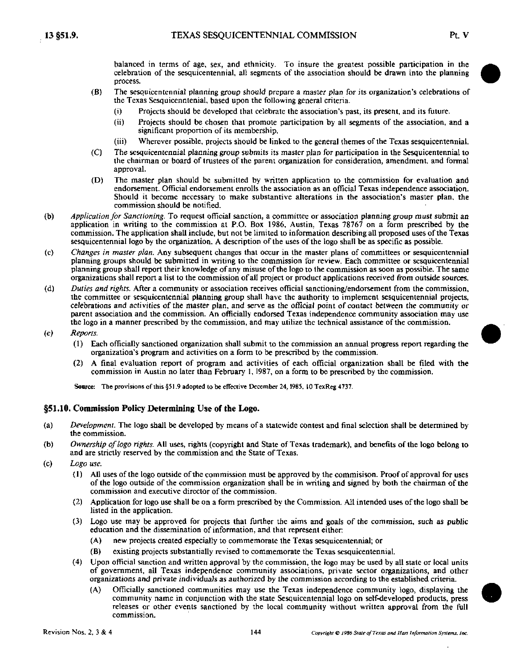balanced in terms of age, sex, and ethnicity. To insure the greatest possible participation in the celebration of the sesquicentenniai, all segments of the association should be drawn into the planning process.

- (B) The sesquicentenniai planning group should prepare a master plan for its organization's celebrations of the Texas Sesquicenntenial, based upon the following general criteria.
	- (i) Projects should be developed that celebrate the association's past, its present, and its fiiture.
	- (ii) Projects should be chosen that promote participation by all segments of the association, and a significant proportion of its membership.
	- (iii) Wherever possible, projects should be linked to the general themes ofthe Texas sesquicentenniai.
- (C) The sesquicentenniai planning group submits its master plan for participation in the Sesquicentenniai to the chairman or board of trustees ofthe parent organization for consideration, amendment, and formal approval.
- (D) The master plan should be submitted by written application lo the commission for evaluation and endorsement. Official endorsement enrolls the association as an official Texas independence association. Should it become necessarv' to make substantive alterations in the association's master plan, the commission should be notified.
- (b) Application for Sanctioning. To request official sanction, a committee or association planning group must submit an application in writing to the commission at P.O. Box 1986. Austin, Texas 78767 on a form prescribed by the commission. The application shall include, but not be limited to information describing all proposed uses of the Texas sesquicentennial logo by the organization. A description of the uses of the logo shall be as specific as possible.
- $(c)$  Changes in master plan. Any subsequent changes that occur in the master plans of committees or sesquicentennial planning groups should be submitted in writing to the commission for review. Each committee or sesquicentennial planning group shall report their knowledge of any misuse ofthe logo to the commission as soon as possible. The same organizations shall report a list to the commission of all project or product applications received from outside sources.
- (d) Duties and rights. After a community or association receives official sanctioning/endorsement from the commission, the committee or sesquicentennial planning group shall have the authority to implement sesquicentennial projects, celebrations and activities of the master plan, and serve as the official point of contact between the community or parent association and the commission. An officially endorsed Texas independence community association may use the logo in a manner prescribed by the commission, and may utilize ihe technical assistance ofthe commission.
- (e) Reports.
	- (1) Each officially sanctioned organization shall submit to the commission an annual progress report regarding the organization's program and activities on a form to be prescribed by the commission.
	- (2) A final evaluation report of program and activities of each official organization shall be filed with the commission in Austin no later than February 1,1987, on a form to be prescribed by the commission.

Source: The provisions of this §51.9 adopted to be effective December 24, 1985. 10 TexReg 4737.

# §51.10. Commission Policy Determining Use of the Logo.

- (a) Development. The logo shall be developed by means of a statewide contest and final selection shall be determined by the commission.
- (b) Ownership of logo rights. All uses, rights (copyright and State of Texas trademark), and benefits of the logo belong to and are strictly reserved by the commission and the State of Texas.
- (c) Logo use.
	- (1) All uses ofthe logo outside ofthe commission must be approved by the commisison. Proof of approval for uses ofthe logo outside ofthe commission organization shall be in writing and signed by both the chairman ofthe commission and executive director of the commission.
	- (2) Application for logo use shall be on a form prescribed by the Commission. All intended uses of the logo shall be listed in the application.
	- (3) Logo use may be approved for projects that further the aims and goals ofthe commission, such as public education and the dissemination of information, and that represent either;
		- (.A) new projects created especially to commemorate the Texas sesquicentenniai; or
		- (B) existing projects substantially revised to commemorate the Texas sesquicentenniai.
	- (4) Upon official sanction and written approval by the commission, the logo may be used by all state or local units of government, all Texas independence community associations, private sector organizations, and other organizations and private individuals as authorized by the commission according to the established criteria.
		- (A) Officially sanctioned communities may use the Texas independence community logo, displaying the community name in conjunction with the state Sesquicentenniai logo on self-developed products, press releases or other events sanctioned by the local community without written approval from the full commission.

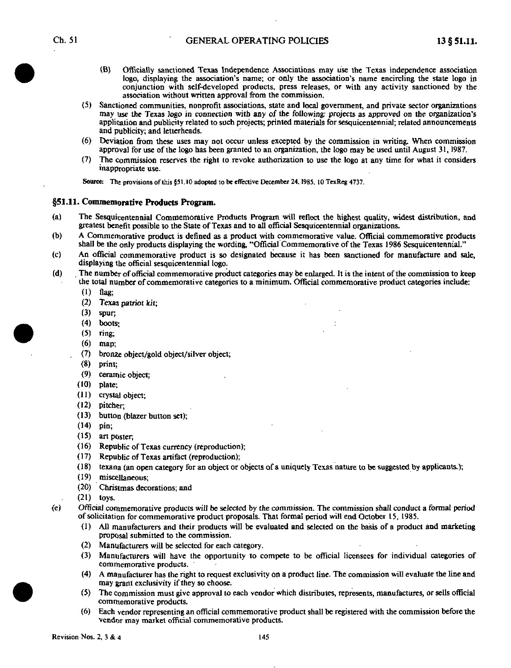- (B) Officially sanctioned Texas Independence Associations may use the Texas independence association logo, displaying the association's name; or only the association's name encircling the state logo in conjunction with self-developed products, press releases, or with any activity sanctioned by the association without written approval from the commission.
- (5) Sanctioned communities, nonprofit associations, state and local government, and private sector organizations may use the Texas logo in connection with any of the following; projects as approved on the organization's application and publicity related to such projects; printed materials for sesquicentenniai; related announcements and publicity; and letterheads.
- $(6)$  Deviation from these uses may not occur unless excepted by the commission in writing. When commission approval for use ofthe logo has been granted lo an organization, the logo may be used until August 31,1987.
- (7) The commission reserves the right to revoke authorization to use the logo at any time for what it considers inappropriate use.

Source: The provisions of this §51.10 adopted to be effective December 24, 1985, 10 TexReg 4737.

### §51.11. Commemorative Products Program.

- (a) The Sesquicentenniai Commemorative Products Program will reflect the highest quality, widest distribution, and greatest benefit possible to the State of Texas and to all official Sesquicentennial organizations.
- (b) A Commemorative product is defined as a product with commemorative value. Official commemorative products shall be the only products displaying the wording, "Official Commemorative of the Texas 1986 Sesquicentenniai.'\*
- (c) An official commemorative product is so designated because it has been sanctioned for manufacture and sale, displaying the official sesquicentennial logo.
- (d) The number of official commemorative product categories may be enlarged. It is the intent of the commission to keep the total number of commemorative categories to a minimum. Official commemorative product categories include:
	- (1) flag;
	- (2) Texas patriot kit;
	- (3) spur;
	- (4) boots;
	- (5) ring;
	- (6) map;
	- (7) bronze object/gold object/silver object;
	- (8) prim;
	- (9) ceramic object;
	- (10) plate;
	- (11) crystal object;
	- (12) pitcher,
	- $(13)$  button (blazer button set);
	- (14) pin;
	- (15) art poster,
	- (16) Republic of Texas currency (reproduction);
	- (17) Republic of Texas artifact (reproduction);
	- (18) texana (an open category for an object or objects of a uniquely Texas nature to be suggested by apphcants.);
	- (19) miscellaneous;
	- (20) Christmas decorations; and
	- (21) toys.

(e) Official commemorative products will be selected by the commission. The commission shall conduct a formal period of solicitation for commemorative product proposals. That formal period will end October 15, 1985.

- (1) All manufacturers and their products will be evaluated and selected on the baisis of a product and marketing proposal submitted to the commission.
- (2) Manufacturers will be selected for each category.
- (3) Manufacturers will have the opportunity to compete lo be official licensees for individual categories of commemorative products.
- (4) A manufacturer has the right to request exclusivity on a product fine. The commission will evaluate the line and may grant exclusivity if they so choose.
- (5) The commission must give approval to each vendor which distributes, represents, manufactures, or sells official commemorative products.
- (6) Each vendor representing an official commemorative product shall be registered with the commission before the vendor may market official commemorative products.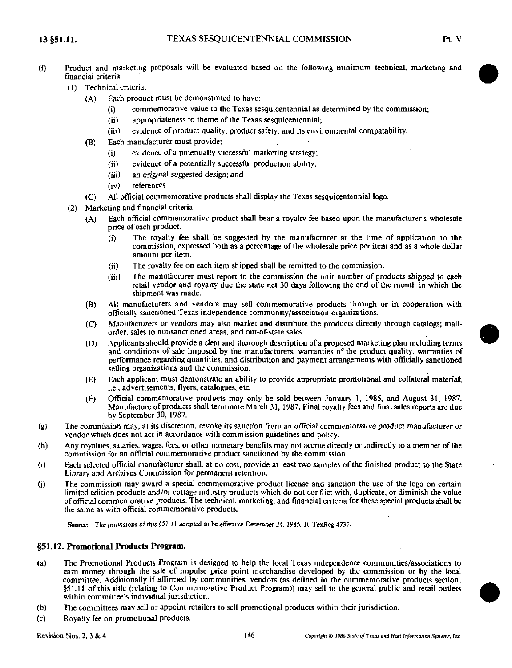- (f) Product and marketing proposals will be evaluated based on the following minimum technical, marketing and financial criteria.
	- (1) Technical criteria.
		- $(A)$  Each product must be demonstrated to have:
			- (i) commemorative value to the Texas sesquicentenniai as determined by the commission;
			- (ii) appropriateness to theme of the Texas sesquicentennial;
			- (iii) evidence of product quality, product safety, and its environmental compatability.
		- (B) Each manufacturer must provide:
			- (i) evidence of a potentially successftil marketing strategy;
			- (ii) evidence of a poientiahy successful production ability;
			- (iii) an original suggested design; and
			- (iv) references.
		- (C) All official commemorative products shall display the Texas sesquicentenniai logo.
	- (2) Marketing and financial criteria.
		- (A) Each official commemorative product shall bear a royalty fee based upon the manufacturer's wholesale price of each product.
			- (i) The royalty fee shall be suggested by the manufacturer al the time of application lo the commission, expressed both as a percentage of the wholesale price per item and as a whole dollar amount per item.
			- (ii) The royalty fee on each item shipped shall be remitted to the commission.
			- (iii) The manufacturer must report to the commission the unit number of products shipped to each retail vendor and royalty due the state net 30 days following the end of the month in which the shipment was made.
		- (B) All manufacturers and vendors may sell commemorative products through or in cooperation with oflicially sanctioned Texas independence community/association organizations.
		- (C) Manufacturers or vendors may also market and distribute the products directly through catalogs; mailorder, sales to nonsanctioned areas, and out-of-state sales.
		- (D) Applicants should provide a clear and thorough description of a proposed marketing plan including terms and conditions of sale imposed by the manufacturers, warranties of the product quality, warranties of performance regarding quantities, and distribution and payment arrangements with officially sanctioned selling organizations and the commission.
		- (E) Each apphcant must demonstrate an ability to provide appropriate promotional and collateral material; i.e., advertisements, flyers, catalogues, etc.
		- (F) Official commemorative products may only be sold between Januarv' 1, 1985, and August 31. 1987. Manufacture of products shall terminate March 31, 1987. Final royalty fees and final sales reports are due by September 30, 1987.
- (g) The commission may, at its discretion, revoke its sanction from an official commemorative product manufacturer or vendor which does not act in accordance with commission guidelines and policy.
- (h) Any royalties, salaries, wages, fees, or other monetary benefits may not accrue directly or indirectly to a member of the commission for an official commemorative product sanctioned by the commission,
- (i) Each selected official manufacturer shall, at no cost, provide at least two samples ofthe finished product to the Slate Library and Archives Commission for permanent retention.
- (j) The commission may award a special commemorative product license and sanction the use of the logo on certain limited edition products and/or cottage industry products which do not conflict with, duplicate, or diminish the value of official commemorative products. The technical, marketing, and financial criteria for these special products shall be the same as with official commemorative products.

Source: The provisions of this  $$51.11$  adopted to be effective December 24, 1985, 10 TexReg 4737.

# §51.12. Promotional Products Program.

- (a) The Promotional Products Program is designed to help the local Texas independence communities/associations to earn money through the sale of impulse price point merchandise developed by the commission or by the local committee. Additionally if affirmed by communities, vendors (as defined in the commemorative products section, §51.11 of this title (relating to Commemorative Product Program)) may sell to the general public and retail outlets within committee's individual jurisdiction.
- (b) The committees may sell or appoint retailers to sell promotional products within their jurisdiction.
- (c) Royalty fee on promotional products.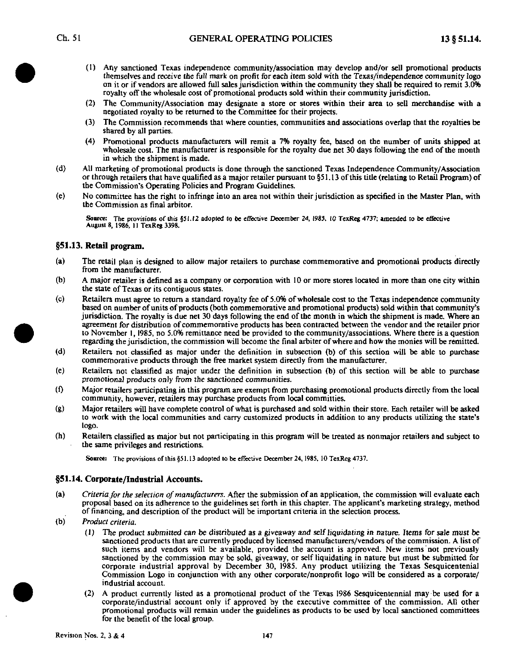- (t) Any sanctioned Texas independence community/association may develop and/or sell promotional products themselves and receive the full mark on profit for each item sold with the Texas/independence community logo on it or if vendors are allowed full sales jurisdiction within the community they shall be required to remit 3.0% royally off the wholesale cost of promotional products sold within their community jurisdiction.
- (2) The Community/Association may designate a store or stores within their area to sell merchandise with a negotiated royalty to be returned to the Committee for their projects.
- (3) The Commission recommends that where counties, communities and associations overlap that the royalties be shared by all parties.
- (4) Promotional products manufacturers will remit a 7% royalty fee, based on the number of units shipped at wholesale cost. The manufacturer is responsible for the royalty due net 30 days following the end of the month in which the shipment is made.
- (d) .^11 marketing of promotional products is done through the sanctioned Texas Independence Community/Association or through retailers that have qualified as a major retailer pursuant to  $\S 51.13$  of this title (relating to Retail Program) of the Commission's Operating Policies and Program Guidelines.
- (e) No committee has the right to infringe into an area not within their jurisdiction as specified in the Master Plan, with the Commission as final arbitor.

Source: The provisions of this §51.12 adopted to be effective December 24, 1985, 10 TexReg 4737; amended to be effective<br>August 8, 1986, 11 TexReg 3398.

## §51.13. Retail program.

- (a) The retail plan is designed to allow major retailers to purchase commemorative and promotional products directiy from the manufacturer.
- (b) A major retailer is defined as a company or corporation with 10 or more stores located in more than one city within the state of Texas or its contiguous states.
- (c) Retailers must agree lo return a standard royalty fee of 5.0% of wholesale cost to the Texas independence community based on number of units of products (both commemorative and promotional products) sold within that community's jurisdiction. The royalty is due net 30 days following the end of the month in which the shipment is made. Where an agreement for distribution of commemorative products has been contracted between the vendor and the retailer prior lo November 1,1985, no 5.0% remittance need be provided to the community/associations. Where there is a question regarding the jurisdiction, the commission will become the final arbiter of where and how the monies will be remitted.
- (d) Retailers not classified as major under the definition in subsection (b) of this section will be able to purchase commemorative products through the tree market system directly from the manufacturer.
- (e) Retailers not classified as major under the definition in subsection (b) of this section will be able to purchase promotional products only from the sanctioned communities.
- $(0)$  Major retailers participating in this program are exempt from purchasing promotional products directly from the local community, however, retailers may purchase products from local committies.
- (g) Major retailers will have complete control of what is purchased and sold within their store. Each retailer will be asked to work with the local communities and carry customized products in addition lo any products utilizing the state's logo.
- (h) Retailers classified as major but not participating in this program will be treated as nonmajor retailers and subject to the same privileges and restrictions.

Source: The provisions of ihis §51.13 adopted 10 be effective December 24,1985, 10 TexReg 4737.

#### §51.14. Corporate/Industrial Accounts.

- (a) Criteria for the selection of manufacturers. After the submission of an application, the commission will evaluate each proposal based on its adherence to the guidelines set forth in this chapter. The applicant's marketing strategy, method of financing, and description of the product will be important criteria in the selection process.
- (b) Product criteria.
	- (1) The product submined can be distributed as a giveaway and self liquidating in nature. Items for sale must be sanctioned products that are currently produced by licensed manufacturers/vendors of the commission. A list of such items and vendors will be available, provided the account is approved. New items not previously sanctioned by the commission may be sold, giveaway, or self liquidating in nature but must be submitted for corporate industrial approval by December 30, 1985. Any product utilizing the Texas Sesquicentenial Commission Logo in conjunction with any other corporate/nonprofit logo will be considered as a corporate/ industrial account.
	- (2) A product currentiy listed as a promotional product of the Texas 1986 Sesquicentenniai may be used for a corporate/industrial account only if approved by the executive committee of the commission. All other promotional products will remain under the guidelines as products to be used by local sanctioned commitiees for the benefit of the local group.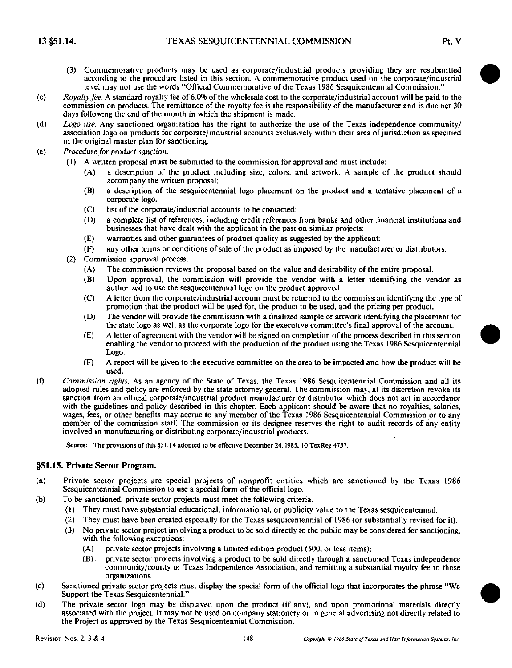- 
- (3) Commemorative products may be used as corporate/industrial products providing they are resubmitted according to the procedure listed in this section. A commemorative product used on the corporate/industrial level may not use the words "Official Commemorative of the Texas 1986 Sesquicentennial Commission."
- (c) Royalty fee. A standard royalty fee of 6.0% of the wholesale cost to the corporate/industrial account will be paid to the commission on products. The remittance of the royalty fee is the responsibility of the manufacturer and is due net 30 days following the end of the month in which the shipment is made.
- (d) Logo use. Any sanctioned organization has the right to authorize the use of the Texas independence community/ association logo on products for corporate/industrial accounts exclusively within their area of jurisdiction as specified in the original master plan for sanctioning.
- (e) Procedure for product sanction.
	- (1) -A written proposal must be submitted to the commission for approval and must include:
		- (A) a description of the product including size, colors, and artwork. A sample of the product should accompany the written proposal;
		- (B) a description of the sesquicentenniai logo placement on the product and a tentative placement of a corporate logo.
		- $(C)$  list of the corporate/industrial accounts to be contacted:
		- (D) a complete list of references, including credit references from banks and other financial institutions and businesses that have dealt with the apphcant in the past on similar projects;
		- (E) warranties and other guarantees of product quality as suggested by the applicant;
		- (F) any other terms or conditions of sale of the product as imposed by the manufacturer or distributors.
		- (2) Commission approval process.
			- (A) The commission reviews the proposal based on the value and desirability of the entire proposal.
			- (B) Upon approval, the commission will provide the vendor with a letter identifying the vendor as authorized to use the sesquicentenniai logo on the product approved.
			- (C) A letter from the corporate/industrial account must be relumed to the commission identifying the type of promotion that the product will be used for, the product to be used, and the pricing per product.
			- (D) The vendor will provide the commission with a finalized sample or artwork identifying the placement for the state logo as well as the corporate logo for the executive committee's final approval of the account.
			- (E) .A letter of agreement with the vendor will be signed on completion ofthe process described in this section enabling the vendor to proceed with the production of the product using the Texas 1986 Sesquicentenniai Logo.
			- (F) A report will be given to the executive committee on the area lo be impacted and how the product will be used.
- (f) Commission rights. As an agency of the State of Texas, the Texas 1986 Sesquicentennial Commission and all its adopied rules and policy are enforced by the state attorney general. The commission may, at its discretion revoke its sanction from an official corporate/industrial product manufacturer or distributor which does not act in accordance with the guidelines and policy described in this chapter. Each applicant should be aware that no royalties, salaries, wages, fees, or other benefits may accrue to any member of the Texas 1986 Sesquicentennial Commission or to any member of the commission staff. The commission or its designee reserves the right to audit records of any entity involved in manufacturing or distributing corporate/industrial products.

Source: The provisions of this §51.14 adopted to be effective December 24, 1985, 10 TexReg 4737.

# §51.15. Private Sector Program.

- (a) Private sector projects are special projects of nonprofit entities which are sanctioned by the Texas 1986 Sesquicentennial Commission to use a special form of the official logo.
- (b) To be sanctioned, private sector projects must meet the following criteria.
	- (1) They musl have substantial educational, informational, or publicity value to the Texas sesquicentenniai.
	- (2) They must have been created especially for the Texas sesquicentennial of 1986 (or substantially revised for it).
	- (3) No private sector project involving a product to be sold directiy to the public may be considered for sanctioning, with the following exceptions:
		- (A) private sector projects involving a limited edition product (500, or less items);
		- (B) private sector projects involving a product to be sold directly through a sanctioned Texas independence community/county or Texas Independence Association, and remitting a substantial royalty fee to those organizations.
- (c) Sanctioned private sector projects must display the special form of the official logo that incorporates the phrase "We Support the Texas Sesquicentenniai."
- (d) The private sector logo may be displayed upon the product (if any), and upon promotional materials directiy associated with the project. It may not be used on company stationery or in general advertising not directly related to the Project as approved by the Texas Sesquicentenniai Commission.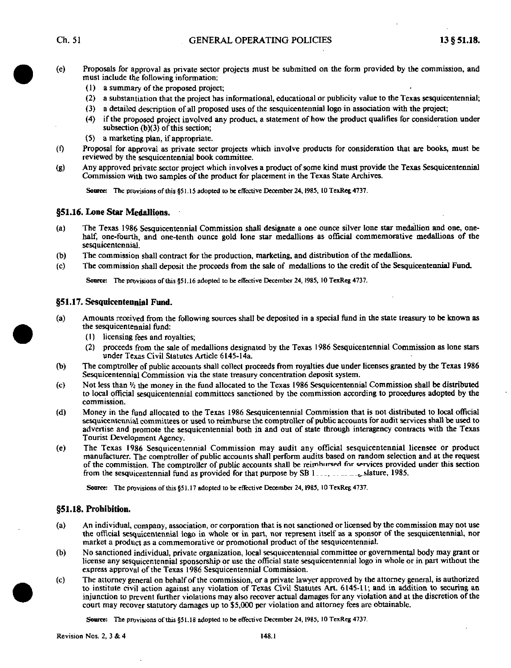- (e) Proposals for approval as private sector projects must be submitted on the form provided by the commission, and musl include the following information:
	- (1) a summary of the proposed project;
	- (2) a substantiation that the project has informational, educational or publicity value to the Texas sesquicentenniai;
	- (3) a detailed description of all proposed uses of the sesquicentennial logo in association with the project;
	- (4) if the proposed project involved any product, a statement of how the product qualifies for consideration under subsection (b)(3) of this section;
	- (5) a marketing plan, if appropriate.
- (0 Proposal for approval as private sector projects which involve products for consideration that are books, must be reviewed by the sesquicentenniai book commiitee.
- (g) Any approved private sector project which involves a product of some kind must provide the Texas Sesquicentenniai Commission with two samples of the product for placement in the Texas State Archives.

Source: The provisions of this §51.15 adopted to be effective December 24, J985, 10 TexReg 4737.

## §51.16. Lone Star Medallions.

- (a) The Texas 1986 Sesquicentenniai Commission shall designate a one ounce silver lone star medallion and one, onehalf, one-fourth, and one-tenth ounce gold lone star medallions as official commemorative medallions of the sesquicentenniai.
- (b) The commission shall contract for the production, marketing, and distribution of the medallions.
- (c) The commission shall deposit the proceeds from the sale of medallions to the credit of the Sesquicentennial Fund.

Source: The provisions of this §51.16 adopted to be effective December 24, 1985, 10 TexReg 4737.

## §51.17. Sesquicentenniai Fund.

- (a) Amounts received from the following sources shall be deposited in a special fiind in the state treasury to be known as the sesquicentennial fund:
	- (1) licensing fees and royalties;
	- (2) proceeds from the sale of medallions designated by the Texas 1986 Sesquicentenniai Commission as lone stars under Texas Civil Statutes Article 6145-14a.
- (b) The comptroller of public accounts shall collect proceeds from royalties due under licenses granted by the Texas 1986 Sesquicentennial Commission via the state treasury concentration deposit system.
- (c) Not less than  $\frac{1}{2}$  the money in the fund allocated to the Texas 1986 Sesquicentennial Commission shall be distributed to local official sesquicentenniai committees sanctioned by the commission according to procedures adopted by the commission.
- (d) Money in the fund allocated to the Texas 1986 Sesquicentenniai Commission that is not distributed to local official sesquicentenniai commitiees or used to reimburse the comptroller of public accounts for audit services shall be used to advertise and promote the sesquicentenniai both in and out of state through interagency contracts with the Texas Tourist Development Agency.
- (e) The Texas 1986 Sesquicentenniai Commission may audit any official sesquicentenniai licensee or product manufacturer. The comptroller of public accounts shall perform audits based on random selection and al the request of the commission. The comptroller of public accounts shall be reimhursed for services provided under this section from the sesquicentennial fund as provided for that purpose by SB 1...,  $\ldots \ldots \ldots$  lature, 1985.

Source: The provisions of this §51.17 adopted to be effective December 24, 1985, 10 TexReg 4737.

#### §51.18. Prohibition.

- (a) An individual, company, association, or corporation that is not sanctioned or licensed by the commission may not use the official sesquicentenniai logo in whole or in part, nor represent itself as a sponsor of the sesquicentenniai, nor market a product as a commemorative or promotional product of the sesquicentennial.
- (b) No sanctioned individual, private organization, local sesquicentenniai committee or governmental body may grant or license any sesquicentenniai sponsorship or use the official slate sesquicentenniai logo in whole or in part without the express approval of the Texas 1986 Sesquicentennial Commission.
- (c) The attorney general on behalf of the commission, or a private lawyer approved by the attorney general, is authorized to institute civil action against any violation of Texas Civil Statutes Art. 6145-11; and in addition to securing an injunction to prevent further violations may also recover actual damages for any violation and at the discretion of the court may recover statutory damages up to \$5,000 per violation and attorney fees are obtainable.

Source: The provisions of this §51.18 adopted to be effective December 24, 1985, 10 TexReg 4737.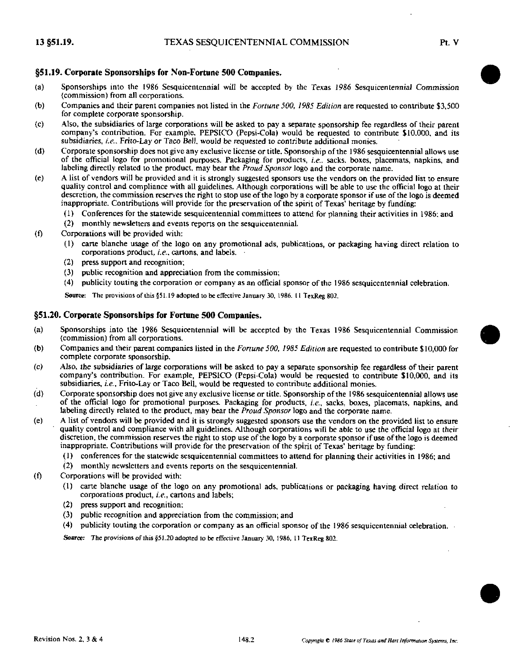# §51.19. Corporate Sponsorships for Non-Fortune 500 Companies.

- (a) Sponsorships into the 1986 Sesquicentenniai will be accepted by the Texas 1986 Sesquicentenniai Commission (commission) from all corporations.
- (b) Companies and their parent companies not listed in the Fortune 500, 1985 Edition are requested to contribute \$3,500 for complete corporate sponsorship.
- (c) Also, the subsidiaries of large corporations will be asked to pay a separate sponsorship fee regardless of their parent company's contribution. For example. PEPSICO (Pepsi-Cola) would be requested to coniribute \$10,000. and its subsidiaries, i.e.. Frito-Lay or Taco Bell, would be requested to coniribute additional monies,
- (d) Corporate sponsorship does not give any exclusive license or title. Sponsorship of the 1986 sesquicentennial allows use of the official logo for promotional purposes. Packaging for products, i.e.. sacks, boxes, placemats, napkins, and labeling directly related to the product, may bear the *Proud Sponsor* logo and the corporate name.
- $(e)$  . A list of vendors will be provided and it is strongly suggested sponsors use the vendors on the provided list to ensure quality control and compliance with all guidelines. Although corporations will be able to use the official logo at their descretion, the commission reserves the right to stop use of the logo by a corporate sponsor if use of the logo is deemed inappropriate. Contributions will provide for the preservation of the spirit of Texas' heritage by funding:
	- (1) Conferences for the statewide sesquicentenrual commitiees to attend for planning their activities in 1986; and
	- (2) monthly newsletters and events reports on the sesquicentenniai.
- (0 Corporations will be provided with:
	- (1) carte blanche usage of the logo on any promotional ads, publications, or packaging having direct relation lo corporations product, i.e., cartons, and labels.
	- (2) press support and recognition;
	- (3) public recognition and appreciation from the commission;
	- (4) publicity touting the corporation or company as an official sponsor ofthe 1986 sesquicentenniai celebration.

Source: The provisions of this \$51.19 adopted to be effective January 30, 1986. 11 TexReg 802.

#### §51.20. Corporate Sponsorships for Fortune 500 Companies.

- (a) Sponsorships into the 1986 Sesquicentenniai will be accepted by the Texas 1986 Sesquicentenniai Commission (commission) from all corporations.
- (b) Companies and their parent companies listed in the Fortune 500, 1985 Edition are requested to contribute \$10,000 for complete corporate sponsorship.
- (c) Also, the subsidiaries of large corporations will be asked to pay a separate sponsorship fee regardless of their parent company's contribution. For example, PEPSICO (Pepsi-Cola) would be requested to contribute \$10,000, and its subsidiaries, *i.e.*, Frito-Lay or Taco Bell, would be requested to contribute additional monies.
- (d) Corporate sponsorship does not give any exclusive license or title. Sponsorship of the 1986 sesquicentennial allows use of the official logo for promotional purposes. Packaging for products, i.e., sacks, boxes, placemats, napkins, and labeling directly related to the product, may bear the Proud Sponsor logo and the corporate name.
- (e) A list of vendors will be provided and it is strongly suggested sponsors use the vendors on the provided list to ensure quality control and compliance with all guidelines. Although corporations will be able to use the official logo at their discretion, the commission reserves the right to stop use of the logo by a corporate sponsor if use of the logo is deemed inappropriate. Contributions will provide for the preservation of the spirit of Texas' heritage by funding:
	- (1) conferences for the statewide sesquicentenniai committees to attend for planning their activities in 1986; and
	- (2) monthly newsletters and events reports on the sesquicentenniai.
- (f) Corporations will be provided with:
	- (1) carte blanche usage of the logo on any promotional ads, publications or packaging having direct relation to corporations product, i.e., cartons and labels;
	- (2) press support and recognition;
	- (3) public recognition and appreciation from the commission; and
	- (4) publicity touting the corporation or company as an official sponsor of the 1986 sesquicentennial celebration.

Source: The provisions of this §51.20 adopted to be effective January 30, 1986, 11 TexReg 802.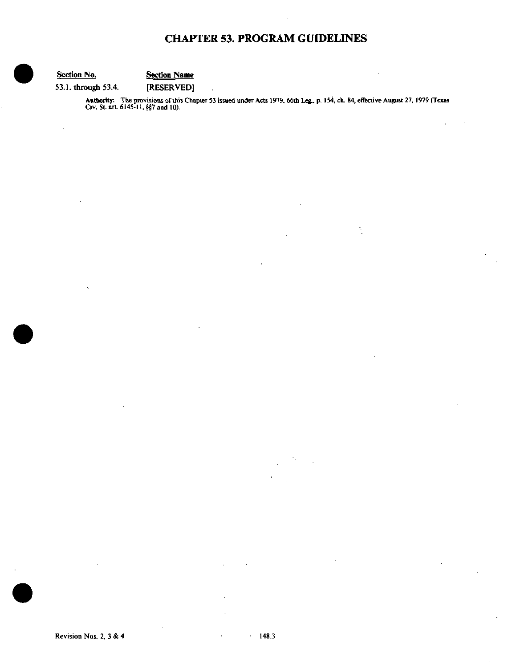# CHAPTER 53. PROGRAM GUIDELINES

Section No. Section Name

53.1. through 53.4. [RESERVED]

Authority: The provisions of this Chapter 53 issued under Acts 1979, 66th Leg., p. 154, ch. 84, effective August 27, 1979 (Texas<br>Civ. St. art. 6145-11, §§7 and 10).